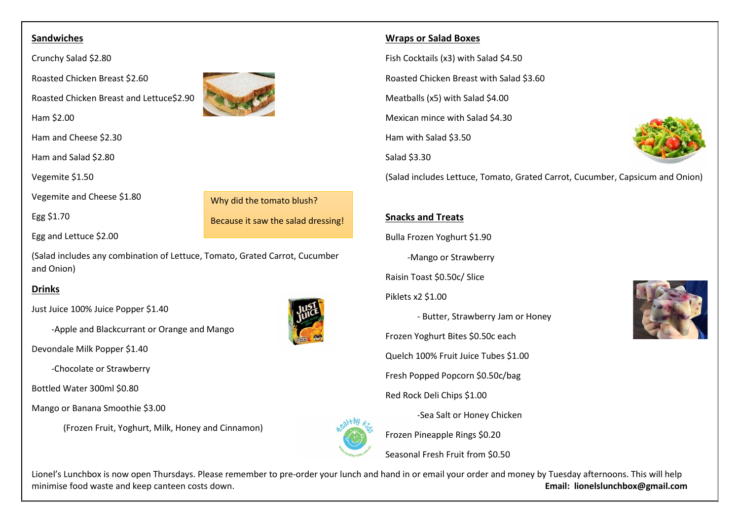#### **Sandwiches**

Crunchy Salad \$2.80

Roasted Chicken Breast \$2.60

Roasted Chicken Breast and Lettuce\$2.90

Ham \$2.00

Ham and Cheese \$2.30

Ham and Salad \$2.80

Vegemite \$1.50

Vegemite and Cheese \$1.80

Egg \$1.70

Why did the tomato blush? Because it saw the salad dressing!

Egg and Lettuce \$2.00

(Salad includes any combination of Lettuce, Tomato, Grated Carrot, Cucumber and Onion)

# **Drinks**

Just Juice 100% Juice Popper \$1.40

-Apple and Blackcurrant or Orange and Mango

Devondale Milk Popper \$1.40

-Chocolate or Strawberry

Bottled Water 300ml \$0.80

Mango or Banana Smoothie \$3.00

(Frozen Fruit, Yoghurt, Milk, Honey and Cinnamon)



#### **Wraps or Salad Boxes**

Fish Cocktails (x3) with Salad \$4.50

Roasted Chicken Breast with Salad \$3.60

Meatballs (x5) with Salad \$4.00

Mexican mince with Salad \$4.30

Ham with Salad \$3.50

Salad \$3.30



(Salad includes Lettuce, Tomato, Grated Carrot, Cucumber, Capsicum and Onion)

# **Snacks and Treats**

Bulla Frozen Yoghurt \$1.90

-Mango or Strawberry

Raisin Toast \$0.50c/ Slice

Piklets x2 \$1.00

- Butter, Strawberry Jam or Honey Frozen Yoghurt Bites \$0.50c each Quelch 100% Fruit Juice Tubes \$1.00 Fresh Popped Popcorn \$0.50c/bag Red Rock Deli Chips \$1.00



Frozen Pineapple Rings \$0.20

Seasonal Fresh Fruit from \$0.50

Lionel's Lunchbox is now open Thursdays. Please remember to pre-order your lunch and hand in or email your order and money by Tuesday afternoons. This will help minimise food waste and keep canteen costs down. **Email: lionelslunchbox@gmail.com**